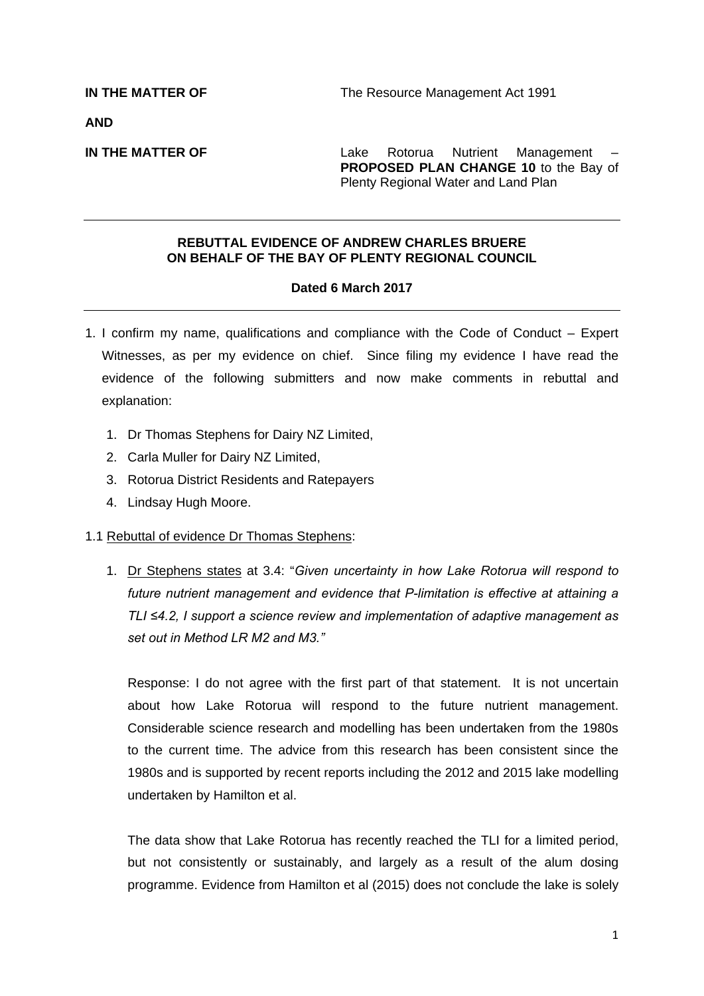**AND** 

**IN THE MATTER OF THE SERVICE 2018** Lake Rotorua Nutrient Management **PROPOSED PLAN CHANGE 10** to the Bay of Plenty Regional Water and Land Plan

## **REBUTTAL EVIDENCE OF ANDREW CHARLES BRUERE ON BEHALF OF THE BAY OF PLENTY REGIONAL COUNCIL**

## **Dated 6 March 2017**

- 1. I confirm my name, qualifications and compliance with the Code of Conduct Expert Witnesses, as per my evidence on chief. Since filing my evidence I have read the evidence of the following submitters and now make comments in rebuttal and explanation:
	- 1. Dr Thomas Stephens for Dairy NZ Limited,
	- 2. Carla Muller for Dairy NZ Limited,
	- 3. Rotorua District Residents and Ratepayers
	- 4. Lindsay Hugh Moore.

## 1.1 Rebuttal of evidence Dr Thomas Stephens:

1. Dr Stephens states at 3.4: "*Given uncertainty in how Lake Rotorua will respond to future nutrient management and evidence that P-limitation is effective at attaining a TLI ≤4.2, I support a science review and implementation of adaptive management as set out in Method LR M2 and M3."*

Response: I do not agree with the first part of that statement. It is not uncertain about how Lake Rotorua will respond to the future nutrient management. Considerable science research and modelling has been undertaken from the 1980s to the current time. The advice from this research has been consistent since the 1980s and is supported by recent reports including the 2012 and 2015 lake modelling undertaken by Hamilton et al.

The data show that Lake Rotorua has recently reached the TLI for a limited period, but not consistently or sustainably, and largely as a result of the alum dosing programme. Evidence from Hamilton et al (2015) does not conclude the lake is solely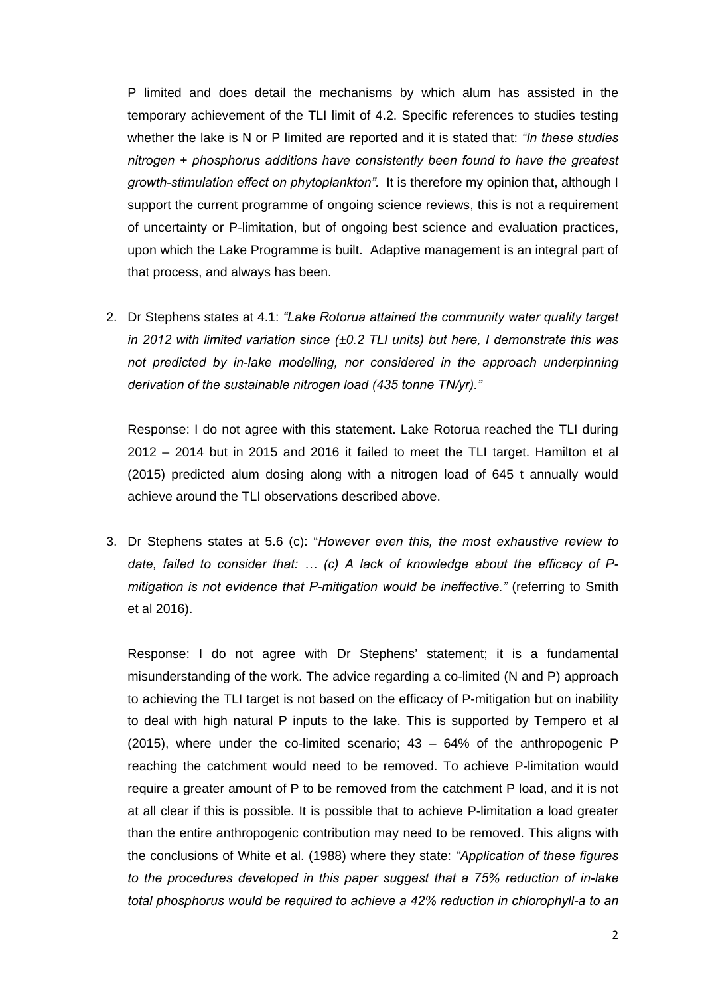P limited and does detail the mechanisms by which alum has assisted in the temporary achievement of the TLI limit of 4.2. Specific references to studies testing whether the lake is N or P limited are reported and it is stated that: *"In these studies nitrogen + phosphorus additions have consistently been found to have the greatest growth-stimulation effect on phytoplankton".* It is therefore my opinion that, although I support the current programme of ongoing science reviews, this is not a requirement of uncertainty or P-limitation, but of ongoing best science and evaluation practices, upon which the Lake Programme is built. Adaptive management is an integral part of that process, and always has been.

2. Dr Stephens states at 4.1: *"Lake Rotorua attained the community water quality target in 2012 with limited variation since (±0.2 TLI units) but here, I demonstrate this was not predicted by in-lake modelling, nor considered in the approach underpinning derivation of the sustainable nitrogen load (435 tonne TN/yr)."* 

Response: I do not agree with this statement. Lake Rotorua reached the TLI during 2012 – 2014 but in 2015 and 2016 it failed to meet the TLI target. Hamilton et al (2015) predicted alum dosing along with a nitrogen load of 645 t annually would achieve around the TLI observations described above.

3. Dr Stephens states at 5.6 (c): "*However even this, the most exhaustive review to date, failed to consider that: … (c) A lack of knowledge about the efficacy of Pmitigation is not evidence that P-mitigation would be ineffective."* (referring to Smith et al 2016).

Response: I do not agree with Dr Stephens' statement; it is a fundamental misunderstanding of the work. The advice regarding a co-limited (N and P) approach to achieving the TLI target is not based on the efficacy of P-mitigation but on inability to deal with high natural P inputs to the lake. This is supported by Tempero et al (2015), where under the co-limited scenario;  $43 - 64%$  of the anthropogenic P reaching the catchment would need to be removed. To achieve P-limitation would require a greater amount of P to be removed from the catchment P load, and it is not at all clear if this is possible. It is possible that to achieve P-limitation a load greater than the entire anthropogenic contribution may need to be removed. This aligns with the conclusions of White et al. (1988) where they state: *"Application of these figures to the procedures developed in this paper suggest that a 75% reduction of in-lake total phosphorus would be required to achieve a 42% reduction in chlorophyll-a to an*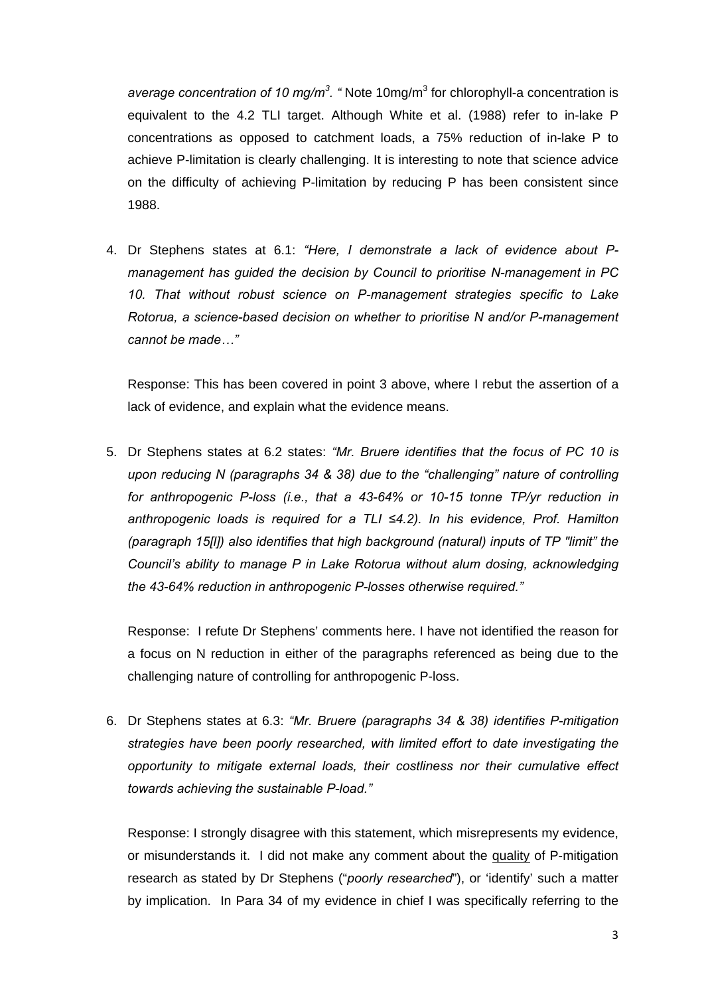average concentration of 10 mg/m<sup>3</sup>. "Note 10mg/m<sup>3</sup> for chlorophyll-a concentration is equivalent to the 4.2 TLI target. Although White et al. (1988) refer to in-lake P concentrations as opposed to catchment loads, a 75% reduction of in-lake P to achieve P-limitation is clearly challenging. It is interesting to note that science advice on the difficulty of achieving P-limitation by reducing P has been consistent since 1988.

4. Dr Stephens states at 6.1: *"Here, I demonstrate a lack of evidence about Pmanagement has guided the decision by Council to prioritise N-management in PC 10. That without robust science on P-management strategies specific to Lake Rotorua, a science-based decision on whether to prioritise N and/or P-management cannot be made…"* 

Response: This has been covered in point 3 above, where I rebut the assertion of a lack of evidence, and explain what the evidence means.

5. Dr Stephens states at 6.2 states: *"Mr. Bruere identifies that the focus of PC 10 is upon reducing N (paragraphs 34 & 38) due to the "challenging" nature of controlling for anthropogenic P-loss (i.e., that a 43-64% or 10-15 tonne TP/yr reduction in anthropogenic loads is required for a TLI ≤4.2). In his evidence, Prof. Hamilton (paragraph 15[l]) also identifies that high background (natural) inputs of TP "limit" the Council's ability to manage P in Lake Rotorua without alum dosing, acknowledging the 43-64% reduction in anthropogenic P-losses otherwise required."*

Response: I refute Dr Stephens' comments here. I have not identified the reason for a focus on N reduction in either of the paragraphs referenced as being due to the challenging nature of controlling for anthropogenic P-loss.

6. Dr Stephens states at 6.3: *"Mr. Bruere (paragraphs 34 & 38) identifies P-mitigation strategies have been poorly researched, with limited effort to date investigating the opportunity to mitigate external loads, their costliness nor their cumulative effect towards achieving the sustainable P-load."* 

Response: I strongly disagree with this statement, which misrepresents my evidence, or misunderstands it. I did not make any comment about the quality of P-mitigation research as stated by Dr Stephens ("*poorly researched*"), or 'identify' such a matter by implication. In Para 34 of my evidence in chief I was specifically referring to the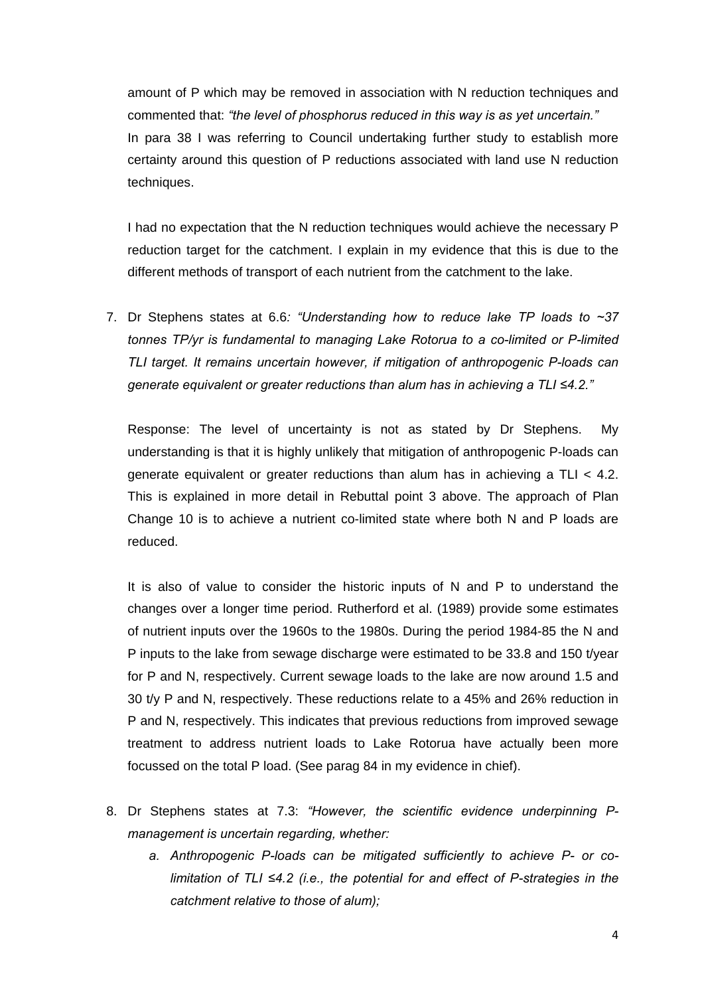amount of P which may be removed in association with N reduction techniques and commented that: *"the level of phosphorus reduced in this way is as yet uncertain."*  In para 38 I was referring to Council undertaking further study to establish more certainty around this question of P reductions associated with land use N reduction techniques.

I had no expectation that the N reduction techniques would achieve the necessary P reduction target for the catchment. I explain in my evidence that this is due to the different methods of transport of each nutrient from the catchment to the lake.

7. Dr Stephens states at 6.6*: "Understanding how to reduce lake TP loads to ~37 tonnes TP/yr is fundamental to managing Lake Rotorua to a co-limited or P-limited TLI target. It remains uncertain however, if mitigation of anthropogenic P-loads can*  generate equivalent or greater reductions than alum has in achieving a TLI ≤4.2."

Response: The level of uncertainty is not as stated by Dr Stephens. My understanding is that it is highly unlikely that mitigation of anthropogenic P-loads can generate equivalent or greater reductions than alum has in achieving a TLI < 4.2. This is explained in more detail in Rebuttal point 3 above. The approach of Plan Change 10 is to achieve a nutrient co-limited state where both N and P loads are reduced.

It is also of value to consider the historic inputs of N and P to understand the changes over a longer time period. Rutherford et al. (1989) provide some estimates of nutrient inputs over the 1960s to the 1980s. During the period 1984-85 the N and P inputs to the lake from sewage discharge were estimated to be 33.8 and 150 t/year for P and N, respectively. Current sewage loads to the lake are now around 1.5 and 30 t/y P and N, respectively. These reductions relate to a 45% and 26% reduction in P and N, respectively. This indicates that previous reductions from improved sewage treatment to address nutrient loads to Lake Rotorua have actually been more focussed on the total P load. (See parag 84 in my evidence in chief).

- 8. Dr Stephens states at 7.3: *"However, the scientific evidence underpinning Pmanagement is uncertain regarding, whether:* 
	- *a. Anthropogenic P-loads can be mitigated sufficiently to achieve P- or colimitation of TLI ≤4.2 (i.e., the potential for and effect of P-strategies in the catchment relative to those of alum);*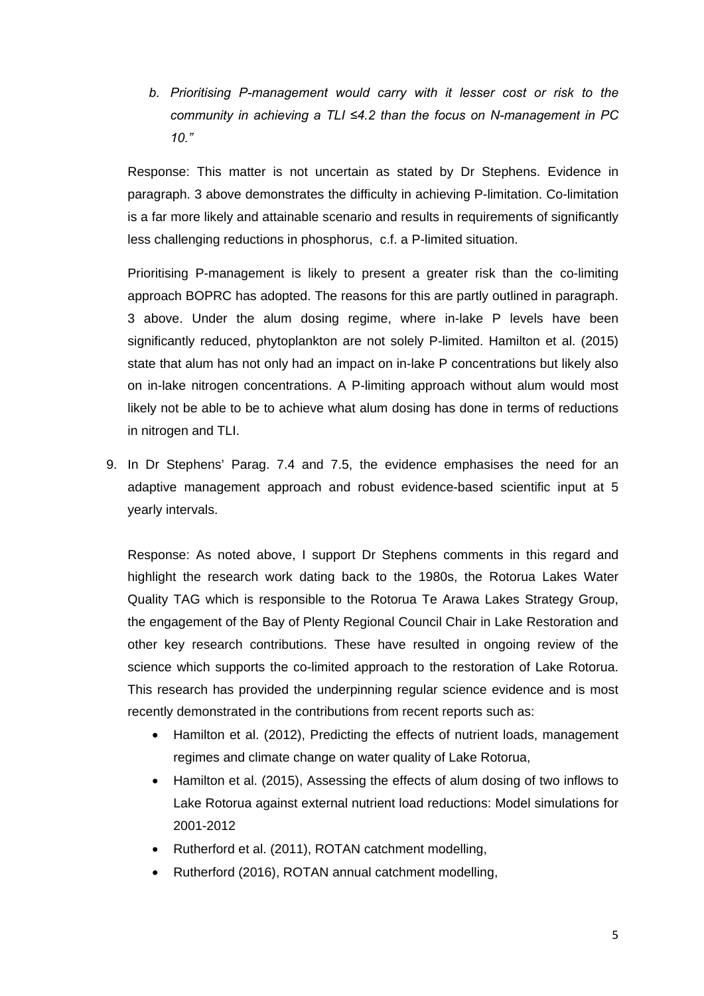*b. Prioritising P-management would carry with it lesser cost or risk to the community in achieving a TLI ≤4.2 than the focus on N-management in PC 10."* 

Response: This matter is not uncertain as stated by Dr Stephens. Evidence in paragraph. 3 above demonstrates the difficulty in achieving P-limitation. Co-limitation is a far more likely and attainable scenario and results in requirements of significantly less challenging reductions in phosphorus, c.f. a P-limited situation.

Prioritising P-management is likely to present a greater risk than the co-limiting approach BOPRC has adopted. The reasons for this are partly outlined in paragraph. 3 above. Under the alum dosing regime, where in-lake P levels have been significantly reduced, phytoplankton are not solely P-limited. Hamilton et al. (2015) state that alum has not only had an impact on in-lake P concentrations but likely also on in-lake nitrogen concentrations. A P-limiting approach without alum would most likely not be able to be to achieve what alum dosing has done in terms of reductions in nitrogen and TLI.

9. In Dr Stephens' Parag. 7.4 and 7.5, the evidence emphasises the need for an adaptive management approach and robust evidence-based scientific input at 5 yearly intervals.

Response: As noted above, I support Dr Stephens comments in this regard and highlight the research work dating back to the 1980s, the Rotorua Lakes Water Quality TAG which is responsible to the Rotorua Te Arawa Lakes Strategy Group, the engagement of the Bay of Plenty Regional Council Chair in Lake Restoration and other key research contributions. These have resulted in ongoing review of the science which supports the co-limited approach to the restoration of Lake Rotorua. This research has provided the underpinning regular science evidence and is most recently demonstrated in the contributions from recent reports such as:

- Hamilton et al. (2012), Predicting the effects of nutrient loads, management regimes and climate change on water quality of Lake Rotorua,
- Hamilton et al. (2015), Assessing the effects of alum dosing of two inflows to Lake Rotorua against external nutrient load reductions: Model simulations for 2001-2012
- Rutherford et al. (2011), ROTAN catchment modelling,
- Rutherford (2016), ROTAN annual catchment modelling,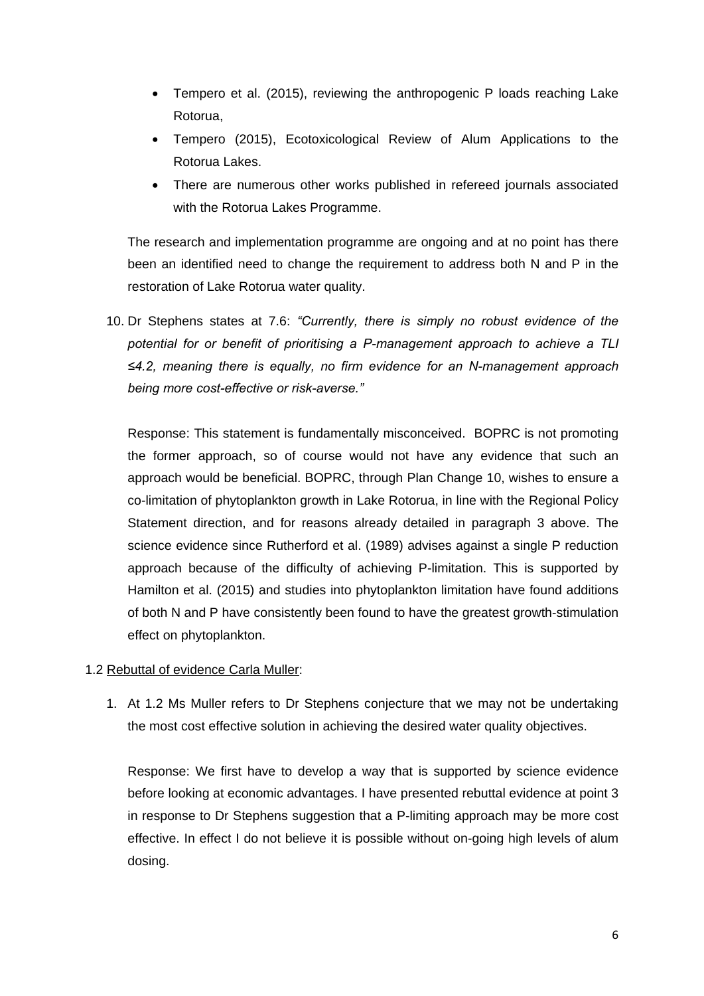- Tempero et al. (2015), reviewing the anthropogenic P loads reaching Lake Rotorua,
- Tempero (2015), Ecotoxicological Review of Alum Applications to the Rotorua Lakes.
- There are numerous other works published in refereed journals associated with the Rotorua Lakes Programme.

The research and implementation programme are ongoing and at no point has there been an identified need to change the requirement to address both N and P in the restoration of Lake Rotorua water quality.

10. Dr Stephens states at 7.6: *"Currently, there is simply no robust evidence of the potential for or benefit of prioritising a P-management approach to achieve a TLI ≤4.2, meaning there is equally, no firm evidence for an N-management approach being more cost-effective or risk-averse."*

Response: This statement is fundamentally misconceived. BOPRC is not promoting the former approach, so of course would not have any evidence that such an approach would be beneficial. BOPRC, through Plan Change 10, wishes to ensure a co-limitation of phytoplankton growth in Lake Rotorua, in line with the Regional Policy Statement direction, and for reasons already detailed in paragraph 3 above. The science evidence since Rutherford et al. (1989) advises against a single P reduction approach because of the difficulty of achieving P-limitation. This is supported by Hamilton et al. (2015) and studies into phytoplankton limitation have found additions of both N and P have consistently been found to have the greatest growth-stimulation effect on phytoplankton.

# 1.2 Rebuttal of evidence Carla Muller:

1. At 1.2 Ms Muller refers to Dr Stephens conjecture that we may not be undertaking the most cost effective solution in achieving the desired water quality objectives.

Response: We first have to develop a way that is supported by science evidence before looking at economic advantages. I have presented rebuttal evidence at point 3 in response to Dr Stephens suggestion that a P-limiting approach may be more cost effective. In effect I do not believe it is possible without on-going high levels of alum dosing.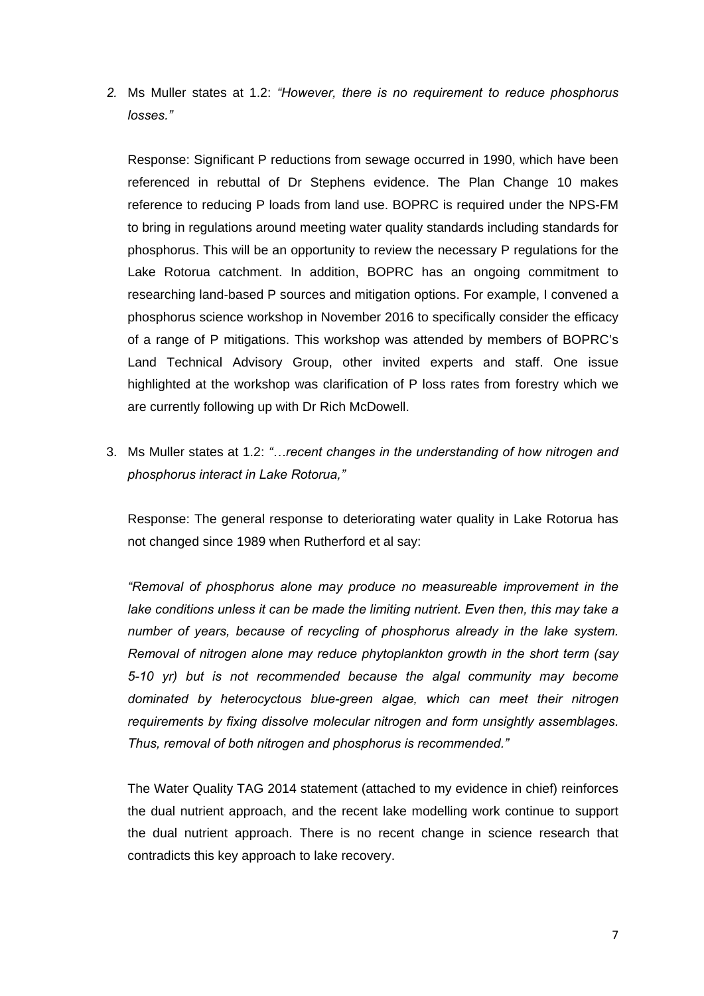*2.* Ms Muller states at 1.2: *"However, there is no requirement to reduce phosphorus losses."* 

Response: Significant P reductions from sewage occurred in 1990, which have been referenced in rebuttal of Dr Stephens evidence. The Plan Change 10 makes reference to reducing P loads from land use. BOPRC is required under the NPS-FM to bring in regulations around meeting water quality standards including standards for phosphorus. This will be an opportunity to review the necessary P regulations for the Lake Rotorua catchment. In addition, BOPRC has an ongoing commitment to researching land-based P sources and mitigation options. For example, I convened a phosphorus science workshop in November 2016 to specifically consider the efficacy of a range of P mitigations. This workshop was attended by members of BOPRC's Land Technical Advisory Group, other invited experts and staff. One issue highlighted at the workshop was clarification of P loss rates from forestry which we are currently following up with Dr Rich McDowell.

3. Ms Muller states at 1.2: *"…recent changes in the understanding of how nitrogen and phosphorus interact in Lake Rotorua,"*

Response: The general response to deteriorating water quality in Lake Rotorua has not changed since 1989 when Rutherford et al say:

*"Removal of phosphorus alone may produce no measureable improvement in the lake conditions unless it can be made the limiting nutrient. Even then, this may take a number of years, because of recycling of phosphorus already in the lake system. Removal of nitrogen alone may reduce phytoplankton growth in the short term (say 5-10 yr) but is not recommended because the algal community may become dominated by heterocyctous blue-green algae, which can meet their nitrogen requirements by fixing dissolve molecular nitrogen and form unsightly assemblages. Thus, removal of both nitrogen and phosphorus is recommended."*

The Water Quality TAG 2014 statement (attached to my evidence in chief) reinforces the dual nutrient approach, and the recent lake modelling work continue to support the dual nutrient approach. There is no recent change in science research that contradicts this key approach to lake recovery.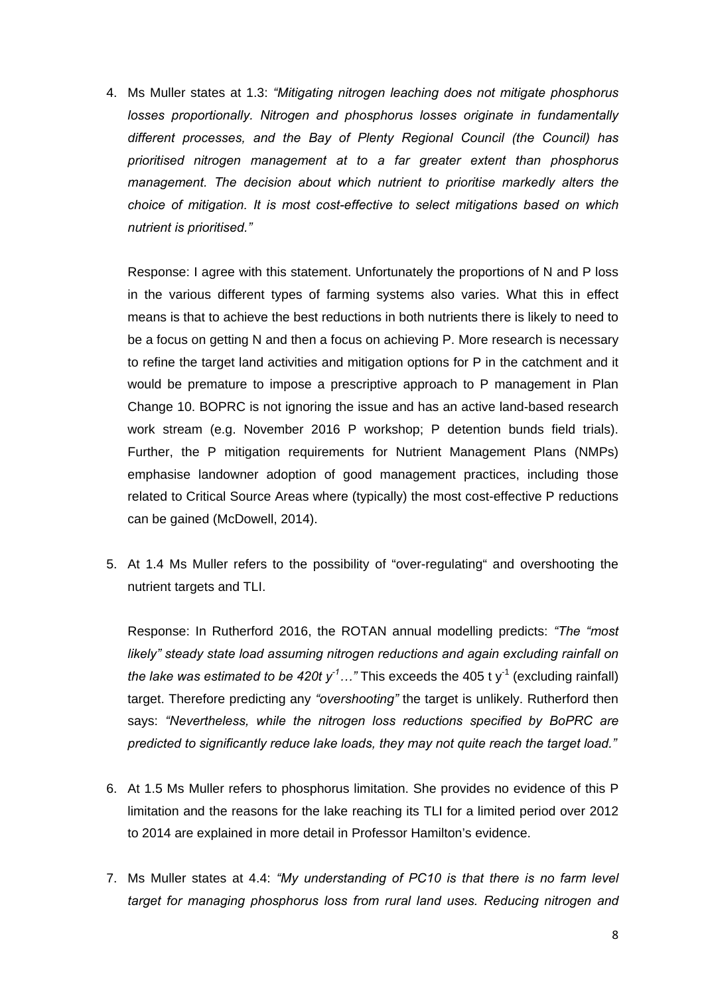4. Ms Muller states at 1.3: *"Mitigating nitrogen leaching does not mitigate phosphorus losses proportionally. Nitrogen and phosphorus losses originate in fundamentally different processes, and the Bay of Plenty Regional Council (the Council) has prioritised nitrogen management at to a far greater extent than phosphorus management. The decision about which nutrient to prioritise markedly alters the choice of mitigation. It is most cost-effective to select mitigations based on which nutrient is prioritised."*

Response: I agree with this statement. Unfortunately the proportions of N and P loss in the various different types of farming systems also varies. What this in effect means is that to achieve the best reductions in both nutrients there is likely to need to be a focus on getting N and then a focus on achieving P. More research is necessary to refine the target land activities and mitigation options for P in the catchment and it would be premature to impose a prescriptive approach to P management in Plan Change 10. BOPRC is not ignoring the issue and has an active land-based research work stream (e.g. November 2016 P workshop; P detention bunds field trials). Further, the P mitigation requirements for Nutrient Management Plans (NMPs) emphasise landowner adoption of good management practices, including those related to Critical Source Areas where (typically) the most cost-effective P reductions can be gained (McDowell, 2014).

5. At 1.4 Ms Muller refers to the possibility of "over-regulating" and overshooting the nutrient targets and TLI.

Response: In Rutherford 2016, the ROTAN annual modelling predicts: *"The "most likely" steady state load assuming nitrogen reductions and again excluding rainfall on the lake was estimated to be 420t y<sup>-1</sup>...*" This exceeds the 405 t y<sup>-1</sup> (excluding rainfall) target. Therefore predicting any *"overshooting"* the target is unlikely. Rutherford then says: *"Nevertheless, while the nitrogen loss reductions specified by BoPRC are predicted to significantly reduce lake loads, they may not quite reach the target load."* 

- 6. At 1.5 Ms Muller refers to phosphorus limitation. She provides no evidence of this P limitation and the reasons for the lake reaching its TLI for a limited period over 2012 to 2014 are explained in more detail in Professor Hamilton's evidence.
- 7. Ms Muller states at 4.4: *"My understanding of PC10 is that there is no farm level target for managing phosphorus loss from rural land uses. Reducing nitrogen and*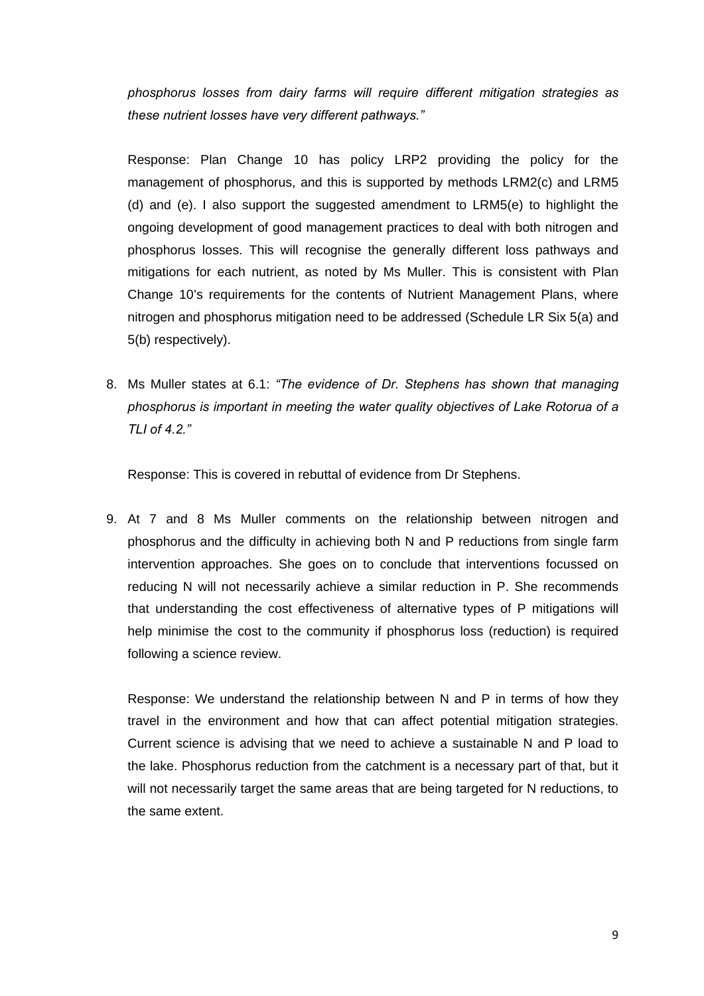*phosphorus losses from dairy farms will require different mitigation strategies as these nutrient losses have very different pathways."*

Response: Plan Change 10 has policy LRP2 providing the policy for the management of phosphorus, and this is supported by methods LRM2(c) and LRM5 (d) and (e). I also support the suggested amendment to LRM5(e) to highlight the ongoing development of good management practices to deal with both nitrogen and phosphorus losses. This will recognise the generally different loss pathways and mitigations for each nutrient, as noted by Ms Muller. This is consistent with Plan Change 10's requirements for the contents of Nutrient Management Plans, where nitrogen and phosphorus mitigation need to be addressed (Schedule LR Six 5(a) and 5(b) respectively).

8. Ms Muller states at 6.1: *"The evidence of Dr. Stephens has shown that managing phosphorus is important in meeting the water quality objectives of Lake Rotorua of a TLI of 4.2."*

Response: This is covered in rebuttal of evidence from Dr Stephens.

9. At 7 and 8 Ms Muller comments on the relationship between nitrogen and phosphorus and the difficulty in achieving both N and P reductions from single farm intervention approaches. She goes on to conclude that interventions focussed on reducing N will not necessarily achieve a similar reduction in P. She recommends that understanding the cost effectiveness of alternative types of P mitigations will help minimise the cost to the community if phosphorus loss (reduction) is required following a science review.

Response: We understand the relationship between N and P in terms of how they travel in the environment and how that can affect potential mitigation strategies. Current science is advising that we need to achieve a sustainable N and P load to the lake. Phosphorus reduction from the catchment is a necessary part of that, but it will not necessarily target the same areas that are being targeted for N reductions, to the same extent.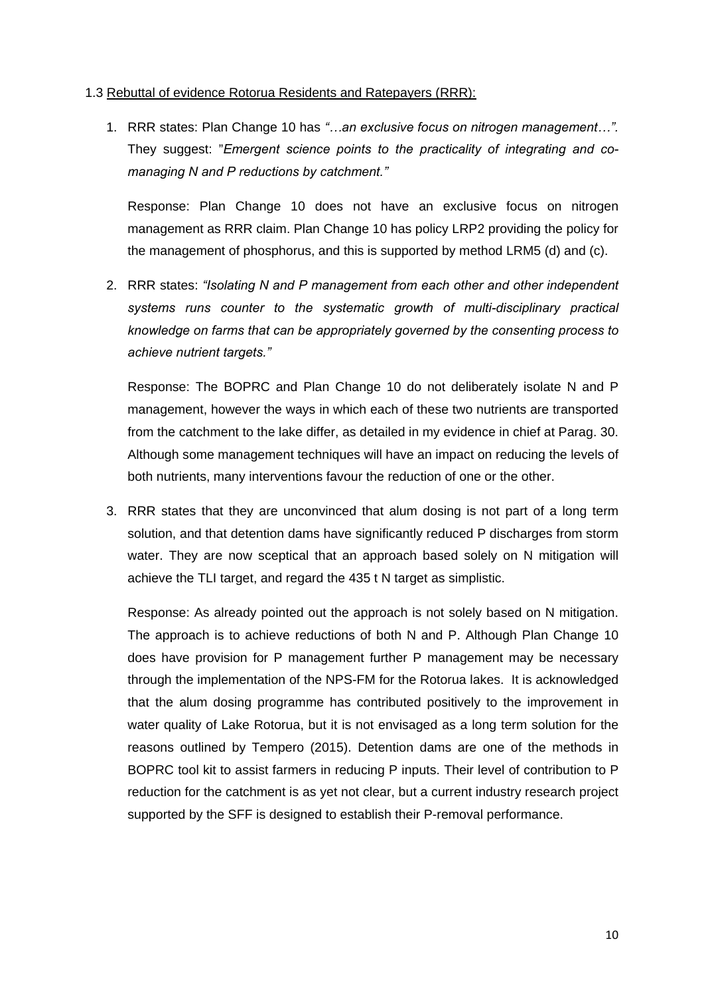## 1.3 Rebuttal of evidence Rotorua Residents and Ratepayers (RRR):

1. RRR states: Plan Change 10 has *"…an exclusive focus on nitrogen management…".* They suggest: "*Emergent science points to the practicality of integrating and comanaging N and P reductions by catchment."*

Response: Plan Change 10 does not have an exclusive focus on nitrogen management as RRR claim. Plan Change 10 has policy LRP2 providing the policy for the management of phosphorus, and this is supported by method LRM5 (d) and (c).

2. RRR states: *"Isolating N and P management from each other and other independent systems runs counter to the systematic growth of multi-disciplinary practical knowledge on farms that can be appropriately governed by the consenting process to achieve nutrient targets."*

Response: The BOPRC and Plan Change 10 do not deliberately isolate N and P management, however the ways in which each of these two nutrients are transported from the catchment to the lake differ, as detailed in my evidence in chief at Parag. 30. Although some management techniques will have an impact on reducing the levels of both nutrients, many interventions favour the reduction of one or the other.

3. RRR states that they are unconvinced that alum dosing is not part of a long term solution, and that detention dams have significantly reduced P discharges from storm water. They are now sceptical that an approach based solely on N mitigation will achieve the TLI target, and regard the 435 t N target as simplistic.

Response: As already pointed out the approach is not solely based on N mitigation. The approach is to achieve reductions of both N and P. Although Plan Change 10 does have provision for P management further P management may be necessary through the implementation of the NPS-FM for the Rotorua lakes. It is acknowledged that the alum dosing programme has contributed positively to the improvement in water quality of Lake Rotorua, but it is not envisaged as a long term solution for the reasons outlined by Tempero (2015). Detention dams are one of the methods in BOPRC tool kit to assist farmers in reducing P inputs. Their level of contribution to P reduction for the catchment is as yet not clear, but a current industry research project supported by the SFF is designed to establish their P-removal performance.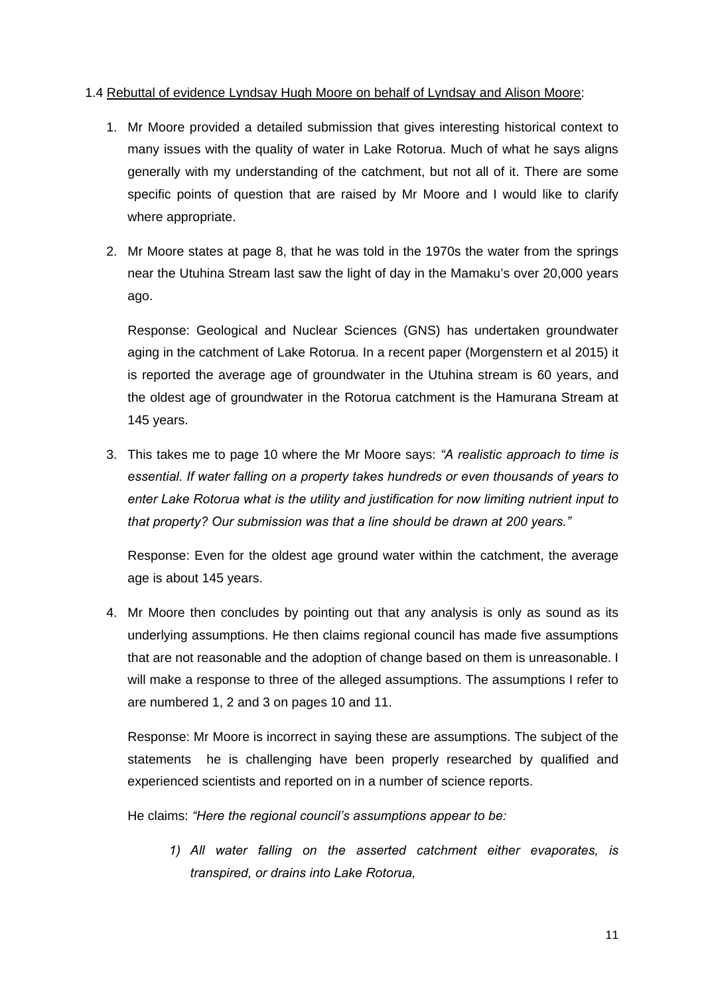## 1.4 Rebuttal of evidence Lyndsay Hugh Moore on behalf of Lyndsay and Alison Moore:

- 1. Mr Moore provided a detailed submission that gives interesting historical context to many issues with the quality of water in Lake Rotorua. Much of what he says aligns generally with my understanding of the catchment, but not all of it. There are some specific points of question that are raised by Mr Moore and I would like to clarify where appropriate.
- 2. Mr Moore states at page 8, that he was told in the 1970s the water from the springs near the Utuhina Stream last saw the light of day in the Mamaku's over 20,000 years ago.

Response: Geological and Nuclear Sciences (GNS) has undertaken groundwater aging in the catchment of Lake Rotorua. In a recent paper (Morgenstern et al 2015) it is reported the average age of groundwater in the Utuhina stream is 60 years, and the oldest age of groundwater in the Rotorua catchment is the Hamurana Stream at 145 years.

3. This takes me to page 10 where the Mr Moore says: *"A realistic approach to time is essential. If water falling on a property takes hundreds or even thousands of years to enter Lake Rotorua what is the utility and justification for now limiting nutrient input to that property? Our submission was that a line should be drawn at 200 years."*

Response: Even for the oldest age ground water within the catchment, the average age is about 145 years.

4. Mr Moore then concludes by pointing out that any analysis is only as sound as its underlying assumptions. He then claims regional council has made five assumptions that are not reasonable and the adoption of change based on them is unreasonable. I will make a response to three of the alleged assumptions. The assumptions I refer to are numbered 1, 2 and 3 on pages 10 and 11.

Response: Mr Moore is incorrect in saying these are assumptions. The subject of the statements he is challenging have been properly researched by qualified and experienced scientists and reported on in a number of science reports.

He claims: *"Here the regional council's assumptions appear to be:* 

*1) All water falling on the asserted catchment either evaporates, is transpired, or drains into Lake Rotorua,*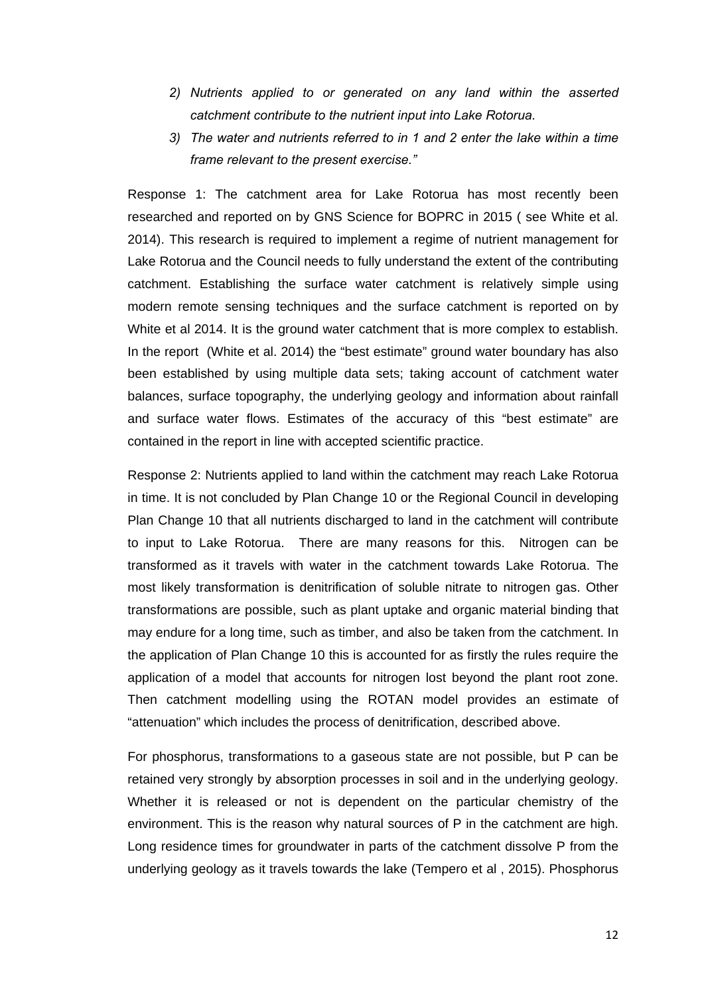- *2) Nutrients applied to or generated on any land within the asserted catchment contribute to the nutrient input into Lake Rotorua.*
- *3) The water and nutrients referred to in 1 and 2 enter the lake within a time frame relevant to the present exercise."*

Response 1: The catchment area for Lake Rotorua has most recently been researched and reported on by GNS Science for BOPRC in 2015 ( see White et al. 2014). This research is required to implement a regime of nutrient management for Lake Rotorua and the Council needs to fully understand the extent of the contributing catchment. Establishing the surface water catchment is relatively simple using modern remote sensing techniques and the surface catchment is reported on by White et al 2014. It is the ground water catchment that is more complex to establish. In the report (White et al. 2014) the "best estimate" ground water boundary has also been established by using multiple data sets; taking account of catchment water balances, surface topography, the underlying geology and information about rainfall and surface water flows. Estimates of the accuracy of this "best estimate" are contained in the report in line with accepted scientific practice.

Response 2: Nutrients applied to land within the catchment may reach Lake Rotorua in time. It is not concluded by Plan Change 10 or the Regional Council in developing Plan Change 10 that all nutrients discharged to land in the catchment will contribute to input to Lake Rotorua. There are many reasons for this. Nitrogen can be transformed as it travels with water in the catchment towards Lake Rotorua. The most likely transformation is denitrification of soluble nitrate to nitrogen gas. Other transformations are possible, such as plant uptake and organic material binding that may endure for a long time, such as timber, and also be taken from the catchment. In the application of Plan Change 10 this is accounted for as firstly the rules require the application of a model that accounts for nitrogen lost beyond the plant root zone. Then catchment modelling using the ROTAN model provides an estimate of "attenuation" which includes the process of denitrification, described above.

For phosphorus, transformations to a gaseous state are not possible, but P can be retained very strongly by absorption processes in soil and in the underlying geology. Whether it is released or not is dependent on the particular chemistry of the environment. This is the reason why natural sources of P in the catchment are high. Long residence times for groundwater in parts of the catchment dissolve P from the underlying geology as it travels towards the lake (Tempero et al , 2015). Phosphorus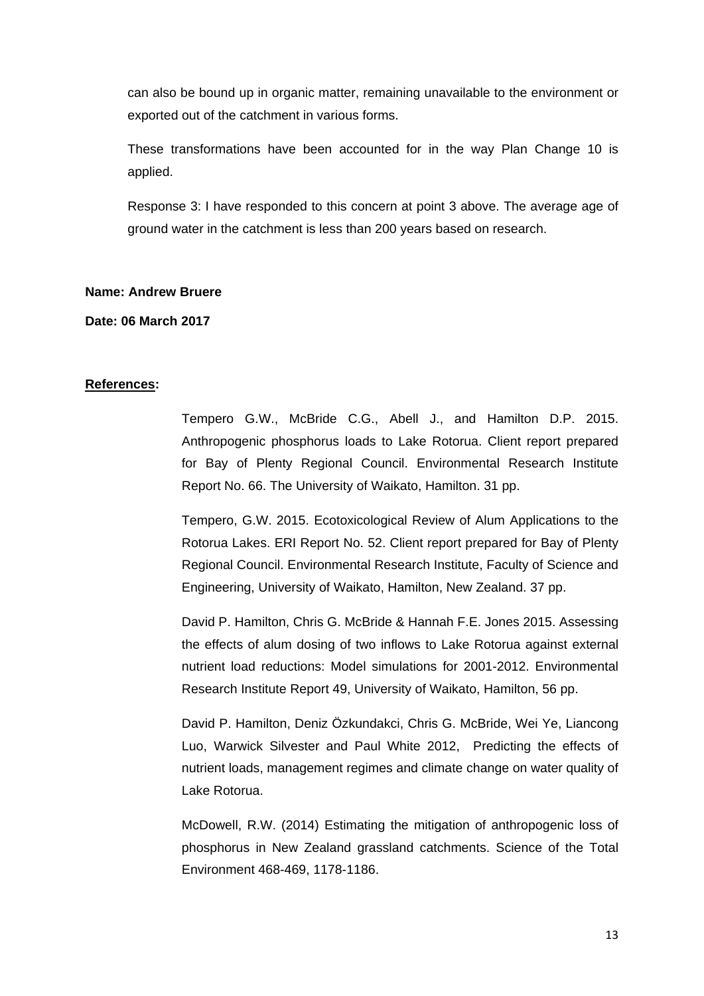can also be bound up in organic matter, remaining unavailable to the environment or exported out of the catchment in various forms.

These transformations have been accounted for in the way Plan Change 10 is applied.

Response 3: I have responded to this concern at point 3 above. The average age of ground water in the catchment is less than 200 years based on research.

## **Name: Andrew Bruere**

**Date: 06 March 2017** 

# **References:**

Tempero G.W., McBride C.G., Abell J., and Hamilton D.P. 2015. Anthropogenic phosphorus loads to Lake Rotorua. Client report prepared for Bay of Plenty Regional Council. Environmental Research Institute Report No. 66. The University of Waikato, Hamilton. 31 pp.

Tempero, G.W. 2015. Ecotoxicological Review of Alum Applications to the Rotorua Lakes. ERI Report No. 52. Client report prepared for Bay of Plenty Regional Council. Environmental Research Institute, Faculty of Science and Engineering, University of Waikato, Hamilton, New Zealand. 37 pp.

David P. Hamilton, Chris G. McBride & Hannah F.E. Jones 2015. Assessing the effects of alum dosing of two inflows to Lake Rotorua against external nutrient load reductions: Model simulations for 2001-2012. Environmental Research Institute Report 49, University of Waikato, Hamilton, 56 pp.

David P. Hamilton, Deniz Özkundakci, Chris G. McBride, Wei Ye, Liancong Luo, Warwick Silvester and Paul White 2012, Predicting the effects of nutrient loads, management regimes and climate change on water quality of Lake Rotorua.

McDowell, R.W. (2014) Estimating the mitigation of anthropogenic loss of phosphorus in New Zealand grassland catchments. Science of the Total Environment 468-469, 1178-1186.